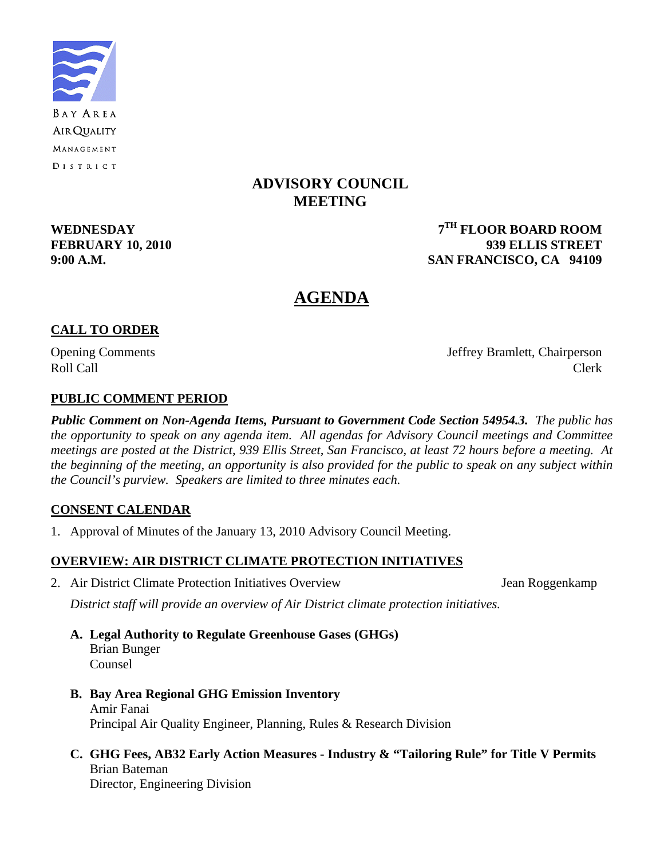

# **ADVISORY COUNCIL MEETING**

**WEDNESDAY 7TH FLOOR BOARD ROOM FEBRUARY 10, 2010 939 ELLIS STREET 9:00 A.M. SAN FRANCISCO, CA 94109** 

# **AGENDA**

# **CALL TO ORDER**

Opening Comments Jeffrey Bramlett, Chairperson Roll Call Call Clerk

# **PUBLIC COMMENT PERIOD**

*Public Comment on Non-Agenda Items, Pursuant to Government Code Section 54954.3. The public has the opportunity to speak on any agenda item. All agendas for Advisory Council meetings and Committee meetings are posted at the District, 939 Ellis Street, San Francisco, at least 72 hours before a meeting. At the beginning of the meeting, an opportunity is also provided for the public to speak on any subject within the Council's purview. Speakers are limited to three minutes each.*

## **CONSENT CALENDAR**

1. Approval of Minutes of the January 13, 2010 Advisory Council Meeting.

## **OVERVIEW: AIR DISTRICT CLIMATE PROTECTION INITIATIVES**

2. Air District Climate Protection Initiatives Overview Jean Roggenkamp

 *District staff will provide an overview of Air District climate protection initiatives.* 

- **A. Legal Authority to Regulate Greenhouse Gases (GHGs)**  Brian Bunger Counsel
- **B. Bay Area Regional GHG Emission Inventory**  Amir Fanai Principal Air Quality Engineer, Planning, Rules & Research Division
- **C. GHG Fees, AB32 Early Action Measures Industry & "Tailoring Rule" for Title V Permits**  Brian Bateman Director, Engineering Division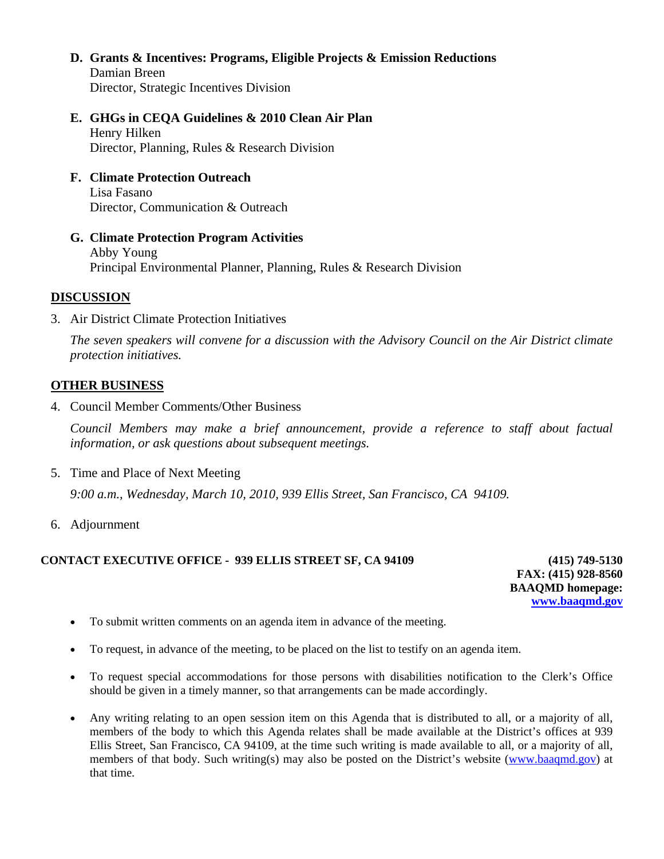- **D. Grants & Incentives: Programs, Eligible Projects & Emission Reductions** Damian Breen Director, Strategic Incentives Division
- **E. GHGs in CEQA Guidelines & 2010 Clean Air Plan**  Henry Hilken Director, Planning, Rules & Research Division
- **F. Climate Protection Outreach**  Lisa Fasano Director, Communication & Outreach
- **G. Climate Protection Program Activities**  Abby Young Principal Environmental Planner, Planning, Rules & Research Division

#### **DISCUSSION**

3. Air District Climate Protection Initiatives

*The seven speakers will convene for a discussion with the Advisory Council on the Air District climate protection initiatives.* 

#### **OTHER BUSINESS**

4. Council Member Comments/Other Business

*Council Members may make a brief announcement, provide a reference to staff about factual information, or ask questions about subsequent meetings.* 

5. Time and Place of Next Meeting

 *9:00 a.m., Wednesday, March 10, 2010, 939 Ellis Street, San Francisco, CA 94109.* 

6. Adjournment

#### **CONTACT EXECUTIVE OFFICE - 939 ELLIS STREET SF, CA 94109 (415) 749-5130**

**FAX: (415) 928-8560 BAAQMD homepage: [www.baaqmd.gov](http://www.baaqmd.gov/)**

- To submit written comments on an agenda item in advance of the meeting.
- To request, in advance of the meeting, to be placed on the list to testify on an agenda item.
- To request special accommodations for those persons with disabilities notification to the Clerk's Office should be given in a timely manner, so that arrangements can be made accordingly.
- Any writing relating to an open session item on this Agenda that is distributed to all, or a majority of all, members of the body to which this Agenda relates shall be made available at the District's offices at 939 Ellis Street, San Francisco, CA 94109, at the time such writing is made available to all, or a majority of all, members of that body. Such writing(s) may also be posted on the District's website [\(www.baaqmd.gov\)](http://www.baaqmd.gov/) at that time.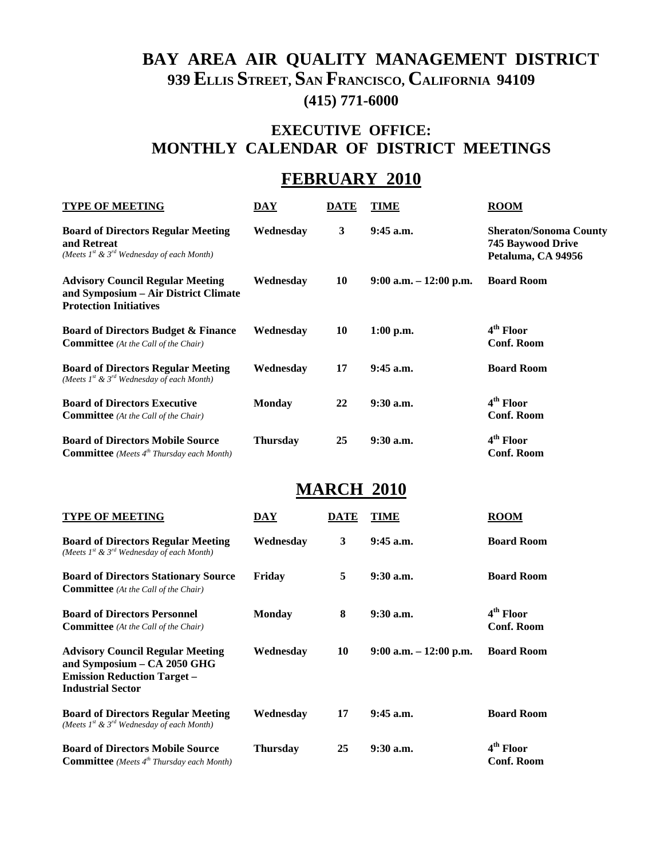# **BAY AREA AIR QUALITY MANAGEMENT DISTRICT 939 ELLIS STREET, SAN FRANCISCO, CALIFORNIA 94109 (415) 771-6000**

# **EXECUTIVE OFFICE: MONTHLY CALENDAR OF DISTRICT MEETINGS**

# **FEBRUARY 2010**

| <b>TYPE OF MEETING</b>                                                                                           | DAY           | DATE | TIME                      | <b>ROOM</b>                                                              |
|------------------------------------------------------------------------------------------------------------------|---------------|------|---------------------------|--------------------------------------------------------------------------|
| <b>Board of Directors Regular Meeting</b><br>and Retreat<br>(Meets $I^{st}$ & $3^{rd}$ Wednesday of each Month)  | Wednesday     | 3    | $9:45$ a.m.               | <b>Sheraton/Sonoma County</b><br>745 Baywood Drive<br>Petaluma, CA 94956 |
| <b>Advisory Council Regular Meeting</b><br>and Symposium – Air District Climate<br><b>Protection Initiatives</b> | Wednesday     | 10   | $9:00$ a.m. $-12:00$ p.m. | <b>Board Room</b>                                                        |
| <b>Board of Directors Budget &amp; Finance</b><br><b>Committee</b> (At the Call of the Chair)                    | Wednesday     | 10   | $1:00$ p.m.               | 4 <sup>th</sup> Floor<br><b>Conf. Room</b>                               |
| <b>Board of Directors Regular Meeting</b><br>(Meets $I^{st}$ & $3^{rd}$ Wednesday of each Month)                 | Wednesdav     | 17   | $9:45$ a.m.               | <b>Board Room</b>                                                        |
| <b>Board of Directors Executive</b><br><b>Committee</b> (At the Call of the Chair)                               | <b>Monday</b> | 22   | $9:30$ a.m.               | 4 <sup>th</sup> Floor<br><b>Conf. Room</b>                               |
| <b>Board of Directors Mobile Source</b><br><b>Committee</b> (Meets $4^{th}$ Thursday each Month)                 | Thursday      | 25   | $9:30$ a.m.               | 4 <sup>th</sup> Floor<br><b>Conf. Room</b>                               |

# **MARCH 2010**

| <b>TYPE OF MEETING</b>                                                                                                                   | DAY             | DATE | TIME                      | <b>ROOM</b>                                |
|------------------------------------------------------------------------------------------------------------------------------------------|-----------------|------|---------------------------|--------------------------------------------|
| <b>Board of Directors Regular Meeting</b><br>(Meets $I^{st}$ & $3^{rd}$ Wednesday of each Month)                                         | Wednesdav       | 3    | $9:45$ a.m.               | <b>Board Room</b>                          |
| <b>Board of Directors Stationary Source</b><br><b>Committee</b> (At the Call of the Chair)                                               | Friday          | 5    | $9:30$ a.m.               | <b>Board Room</b>                          |
| <b>Board of Directors Personnel</b><br><b>Committee</b> (At the Call of the Chair)                                                       | <b>Monday</b>   | 8    | $9:30$ a.m.               | 4 <sup>th</sup> Floor<br><b>Conf. Room</b> |
| <b>Advisory Council Regular Meeting</b><br>and Symposium - CA 2050 GHG<br><b>Emission Reduction Target –</b><br><b>Industrial Sector</b> | Wednesdav       | 10   | $9:00$ a.m. $-12:00$ p.m. | <b>Board Room</b>                          |
| <b>Board of Directors Regular Meeting</b><br>(Meets $I^{st}$ & $3^{rd}$ Wednesday of each Month)                                         | Wednesdav       | 17   | $9:45$ a.m.               | <b>Board Room</b>                          |
| <b>Board of Directors Mobile Source</b><br><b>Committee</b> (Meets $4^{th}$ Thursday each Month)                                         | <b>Thursday</b> | 25   | $9:30$ a.m.               | 4 <sup>th</sup> Floor<br><b>Conf. Room</b> |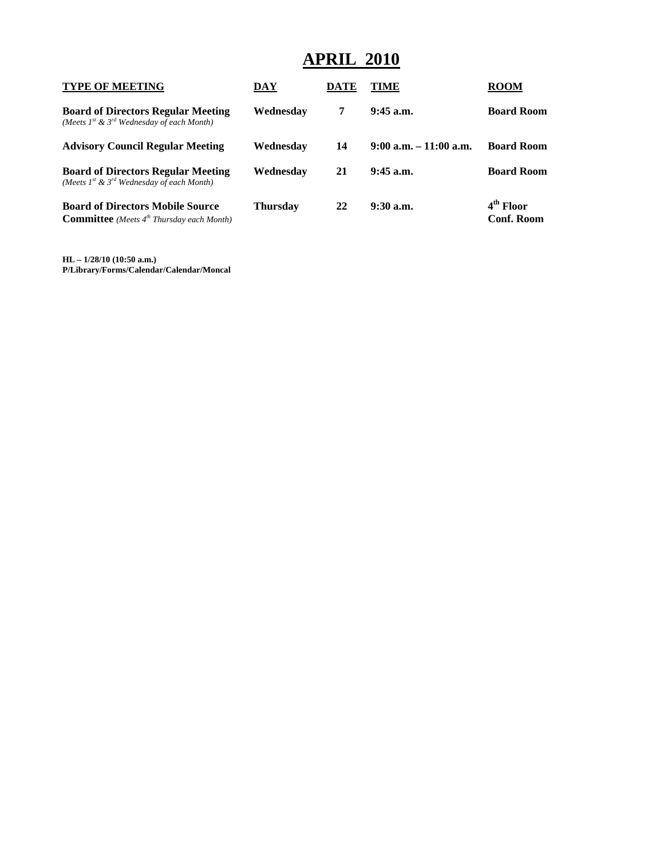# **APRIL 2010**

| <b>TYPE OF MEETING</b>                                                                           | DAY       | DATE | TIME                      | <b>ROOM</b>                                |
|--------------------------------------------------------------------------------------------------|-----------|------|---------------------------|--------------------------------------------|
| <b>Board of Directors Regular Meeting</b><br>(Meets $I^{st}$ & $3^{rd}$ Wednesday of each Month) | Wednesday | 7    | $9:45$ a.m.               | <b>Board Room</b>                          |
| <b>Advisory Council Regular Meeting</b>                                                          | Wednesdav | 14   | $9:00$ a.m. $-11:00$ a.m. | <b>Board Room</b>                          |
| <b>Board of Directors Regular Meeting</b><br>(Meets $I^{st}$ & $3^{rd}$ Wednesday of each Month) | Wednesdav | 21   | $9:45$ a.m.               | <b>Board Room</b>                          |
| <b>Board of Directors Mobile Source</b><br><b>Committee</b> (Meets $4^{th}$ Thursday each Month) | Thursdav  | 22   | $9:30$ a.m.               | 4 <sup>th</sup> Floor<br><b>Conf. Room</b> |

**HL – 1/28/10 (10:50 a.m.) P/Library/Forms/Calendar/Calendar/Moncal**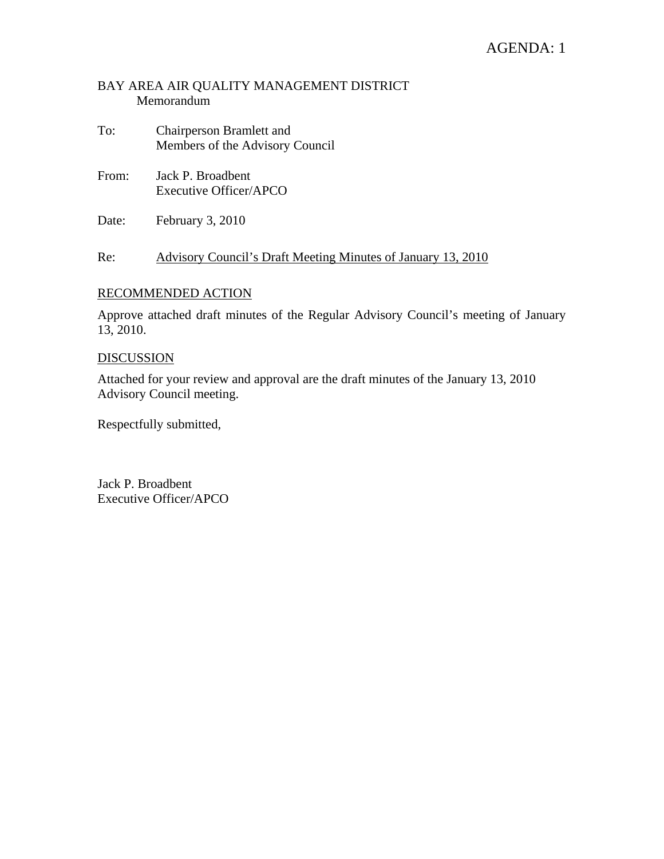# AGENDA: 1

#### BAY AREA AIR QUALITY MANAGEMENT DISTRICT Memorandum

- To: Chairperson Bramlett and Members of the Advisory Council
- From: Jack P. Broadbent Executive Officer/APCO
- Date: February 3, 2010

Re: Advisory Council's Draft Meeting Minutes of January 13, 2010

#### RECOMMENDED ACTION

Approve attached draft minutes of the Regular Advisory Council's meeting of January 13, 2010.

#### DISCUSSION

Attached for your review and approval are the draft minutes of the January 13, 2010 Advisory Council meeting.

Respectfully submitted,

Jack P. Broadbent Executive Officer/APCO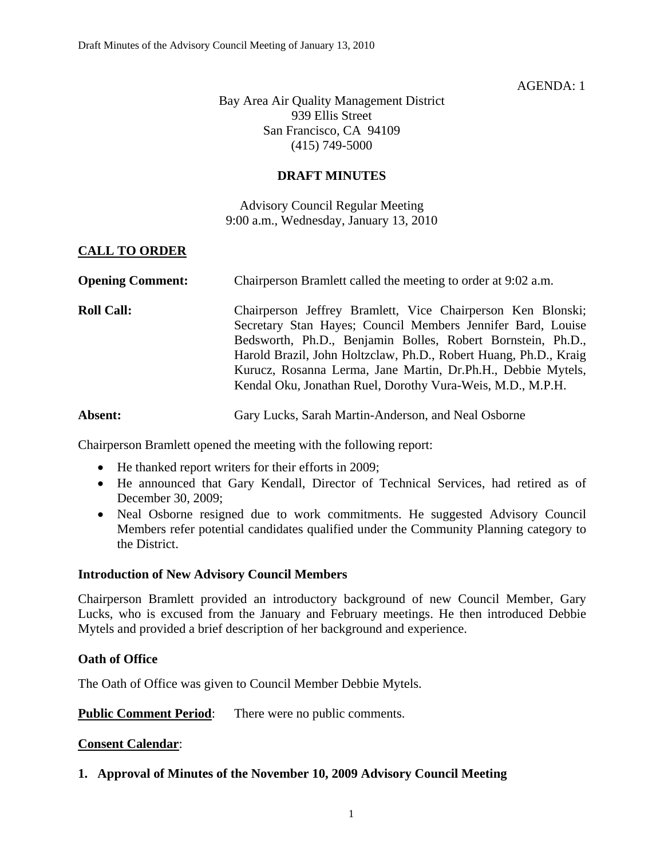#### AGENDA: 1

Bay Area Air Quality Management District 939 Ellis Street San Francisco, CA 94109 (415) 749-5000

#### **DRAFT MINUTES**

Advisory Council Regular Meeting 9:00 a.m., Wednesday, January 13, 2010

## **CALL TO ORDER**

| <b>Opening Comment:</b> | Chairperson Bramlett called the meeting to order at 9:02 a.m.                                                                                                                                                                                                                                                                                                                               |
|-------------------------|---------------------------------------------------------------------------------------------------------------------------------------------------------------------------------------------------------------------------------------------------------------------------------------------------------------------------------------------------------------------------------------------|
| <b>Roll Call:</b>       | Chairperson Jeffrey Bramlett, Vice Chairperson Ken Blonski;<br>Secretary Stan Hayes; Council Members Jennifer Bard, Louise<br>Bedsworth, Ph.D., Benjamin Bolles, Robert Bornstein, Ph.D.,<br>Harold Brazil, John Holtzclaw, Ph.D., Robert Huang, Ph.D., Kraig<br>Kurucz, Rosanna Lerma, Jane Martin, Dr.Ph.H., Debbie Mytels,<br>Kendal Oku, Jonathan Ruel, Dorothy Vura-Weis, M.D., M.P.H. |

Absent: Gary Lucks, Sarah Martin-Anderson, and Neal Osborne

Chairperson Bramlett opened the meeting with the following report:

- He thanked report writers for their efforts in 2009;
- He announced that Gary Kendall, Director of Technical Services, had retired as of December 30, 2009;
- Neal Osborne resigned due to work commitments. He suggested Advisory Council Members refer potential candidates qualified under the Community Planning category to the District.

#### **Introduction of New Advisory Council Members**

Chairperson Bramlett provided an introductory background of new Council Member, Gary Lucks, who is excused from the January and February meetings. He then introduced Debbie Mytels and provided a brief description of her background and experience.

#### **Oath of Office**

The Oath of Office was given to Council Member Debbie Mytels.

**Public Comment Period:** There were no public comments.

#### **Consent Calendar**:

#### **1. Approval of Minutes of the November 10, 2009 Advisory Council Meeting**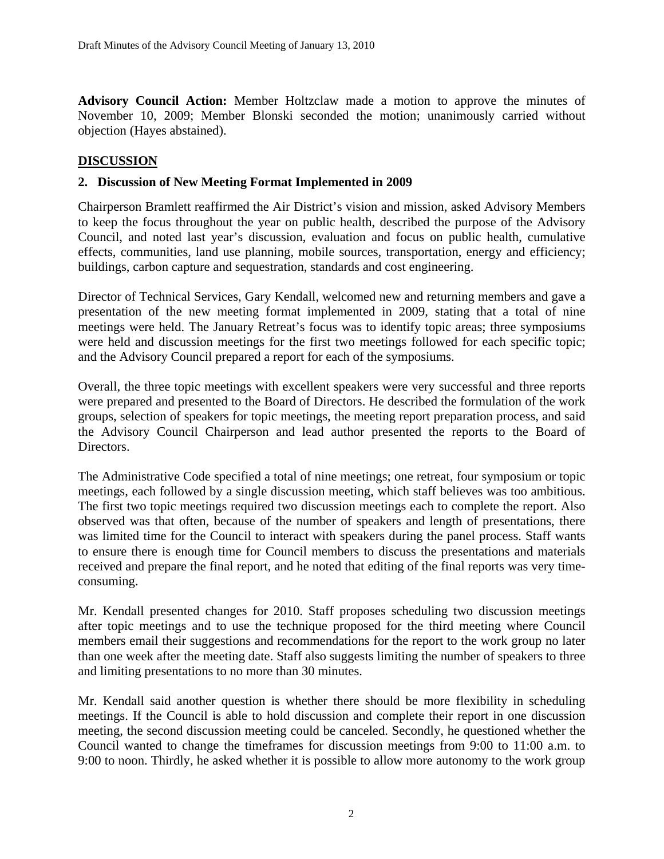**Advisory Council Action:** Member Holtzclaw made a motion to approve the minutes of November 10, 2009; Member Blonski seconded the motion; unanimously carried without objection (Hayes abstained).

## **DISCUSSION**

## **2. Discussion of New Meeting Format Implemented in 2009**

Chairperson Bramlett reaffirmed the Air District's vision and mission, asked Advisory Members to keep the focus throughout the year on public health, described the purpose of the Advisory Council, and noted last year's discussion, evaluation and focus on public health, cumulative effects, communities, land use planning, mobile sources, transportation, energy and efficiency; buildings, carbon capture and sequestration, standards and cost engineering.

Director of Technical Services, Gary Kendall, welcomed new and returning members and gave a presentation of the new meeting format implemented in 2009, stating that a total of nine meetings were held. The January Retreat's focus was to identify topic areas; three symposiums were held and discussion meetings for the first two meetings followed for each specific topic; and the Advisory Council prepared a report for each of the symposiums.

Overall, the three topic meetings with excellent speakers were very successful and three reports were prepared and presented to the Board of Directors. He described the formulation of the work groups, selection of speakers for topic meetings, the meeting report preparation process, and said the Advisory Council Chairperson and lead author presented the reports to the Board of Directors.

The Administrative Code specified a total of nine meetings; one retreat, four symposium or topic meetings, each followed by a single discussion meeting, which staff believes was too ambitious. The first two topic meetings required two discussion meetings each to complete the report. Also observed was that often, because of the number of speakers and length of presentations, there was limited time for the Council to interact with speakers during the panel process. Staff wants to ensure there is enough time for Council members to discuss the presentations and materials received and prepare the final report, and he noted that editing of the final reports was very timeconsuming.

Mr. Kendall presented changes for 2010. Staff proposes scheduling two discussion meetings after topic meetings and to use the technique proposed for the third meeting where Council members email their suggestions and recommendations for the report to the work group no later than one week after the meeting date. Staff also suggests limiting the number of speakers to three and limiting presentations to no more than 30 minutes.

Mr. Kendall said another question is whether there should be more flexibility in scheduling meetings. If the Council is able to hold discussion and complete their report in one discussion meeting, the second discussion meeting could be canceled. Secondly, he questioned whether the Council wanted to change the timeframes for discussion meetings from 9:00 to 11:00 a.m. to 9:00 to noon. Thirdly, he asked whether it is possible to allow more autonomy to the work group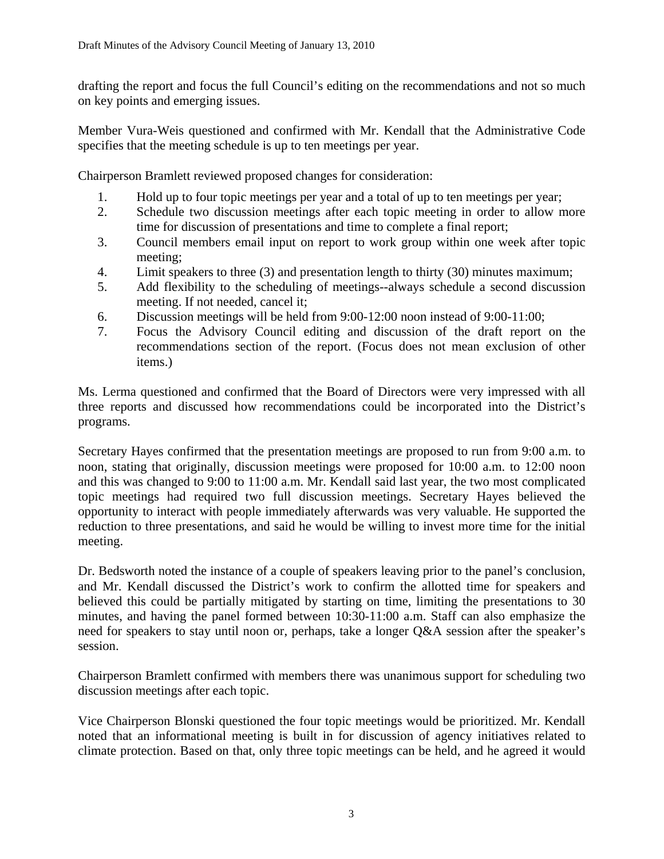drafting the report and focus the full Council's editing on the recommendations and not so much on key points and emerging issues.

Member Vura-Weis questioned and confirmed with Mr. Kendall that the Administrative Code specifies that the meeting schedule is up to ten meetings per year.

Chairperson Bramlett reviewed proposed changes for consideration:

- 1. Hold up to four topic meetings per year and a total of up to ten meetings per year;
- 2. Schedule two discussion meetings after each topic meeting in order to allow more time for discussion of presentations and time to complete a final report;
- 3. Council members email input on report to work group within one week after topic meeting;
- 4. Limit speakers to three (3) and presentation length to thirty (30) minutes maximum;
- 5. Add flexibility to the scheduling of meetings--always schedule a second discussion meeting. If not needed, cancel it;
- 6. Discussion meetings will be held from 9:00-12:00 noon instead of 9:00-11:00;
- 7. Focus the Advisory Council editing and discussion of the draft report on the recommendations section of the report. (Focus does not mean exclusion of other items.)

Ms. Lerma questioned and confirmed that the Board of Directors were very impressed with all three reports and discussed how recommendations could be incorporated into the District's programs.

Secretary Hayes confirmed that the presentation meetings are proposed to run from 9:00 a.m. to noon, stating that originally, discussion meetings were proposed for 10:00 a.m. to 12:00 noon and this was changed to 9:00 to 11:00 a.m. Mr. Kendall said last year, the two most complicated topic meetings had required two full discussion meetings. Secretary Hayes believed the opportunity to interact with people immediately afterwards was very valuable. He supported the reduction to three presentations, and said he would be willing to invest more time for the initial meeting.

Dr. Bedsworth noted the instance of a couple of speakers leaving prior to the panel's conclusion, and Mr. Kendall discussed the District's work to confirm the allotted time for speakers and believed this could be partially mitigated by starting on time, limiting the presentations to 30 minutes, and having the panel formed between 10:30-11:00 a.m. Staff can also emphasize the need for speakers to stay until noon or, perhaps, take a longer Q&A session after the speaker's session.

Chairperson Bramlett confirmed with members there was unanimous support for scheduling two discussion meetings after each topic.

Vice Chairperson Blonski questioned the four topic meetings would be prioritized. Mr. Kendall noted that an informational meeting is built in for discussion of agency initiatives related to climate protection. Based on that, only three topic meetings can be held, and he agreed it would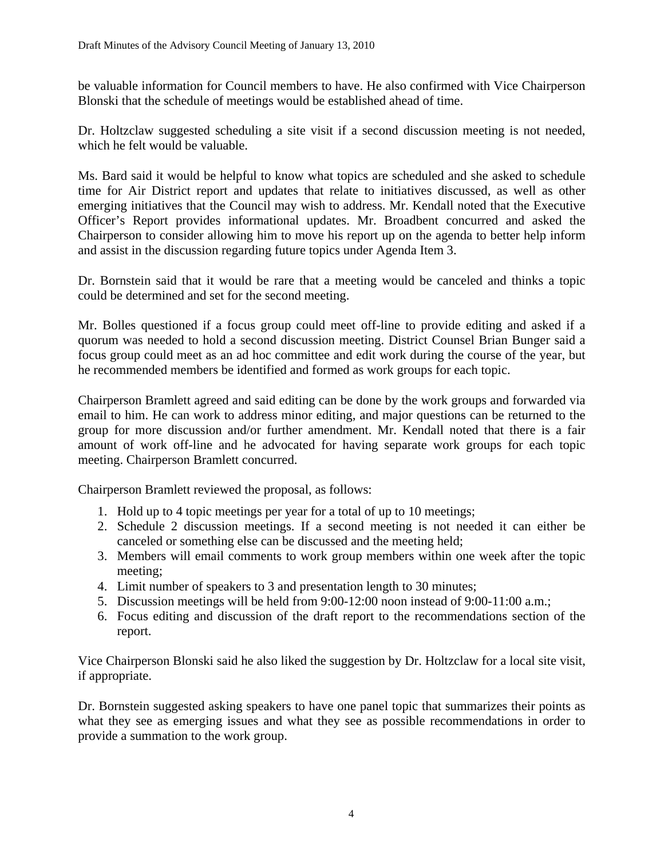be valuable information for Council members to have. He also confirmed with Vice Chairperson Blonski that the schedule of meetings would be established ahead of time.

Dr. Holtzclaw suggested scheduling a site visit if a second discussion meeting is not needed, which he felt would be valuable.

Ms. Bard said it would be helpful to know what topics are scheduled and she asked to schedule time for Air District report and updates that relate to initiatives discussed, as well as other emerging initiatives that the Council may wish to address. Mr. Kendall noted that the Executive Officer's Report provides informational updates. Mr. Broadbent concurred and asked the Chairperson to consider allowing him to move his report up on the agenda to better help inform and assist in the discussion regarding future topics under Agenda Item 3.

Dr. Bornstein said that it would be rare that a meeting would be canceled and thinks a topic could be determined and set for the second meeting.

Mr. Bolles questioned if a focus group could meet off-line to provide editing and asked if a quorum was needed to hold a second discussion meeting. District Counsel Brian Bunger said a focus group could meet as an ad hoc committee and edit work during the course of the year, but he recommended members be identified and formed as work groups for each topic.

Chairperson Bramlett agreed and said editing can be done by the work groups and forwarded via email to him. He can work to address minor editing, and major questions can be returned to the group for more discussion and/or further amendment. Mr. Kendall noted that there is a fair amount of work off-line and he advocated for having separate work groups for each topic meeting. Chairperson Bramlett concurred.

Chairperson Bramlett reviewed the proposal, as follows:

- 1. Hold up to 4 topic meetings per year for a total of up to 10 meetings;
- 2. Schedule 2 discussion meetings. If a second meeting is not needed it can either be canceled or something else can be discussed and the meeting held;
- 3. Members will email comments to work group members within one week after the topic meeting;
- 4. Limit number of speakers to 3 and presentation length to 30 minutes;
- 5. Discussion meetings will be held from 9:00-12:00 noon instead of 9:00-11:00 a.m.;
- 6. Focus editing and discussion of the draft report to the recommendations section of the report.

Vice Chairperson Blonski said he also liked the suggestion by Dr. Holtzclaw for a local site visit, if appropriate.

Dr. Bornstein suggested asking speakers to have one panel topic that summarizes their points as what they see as emerging issues and what they see as possible recommendations in order to provide a summation to the work group.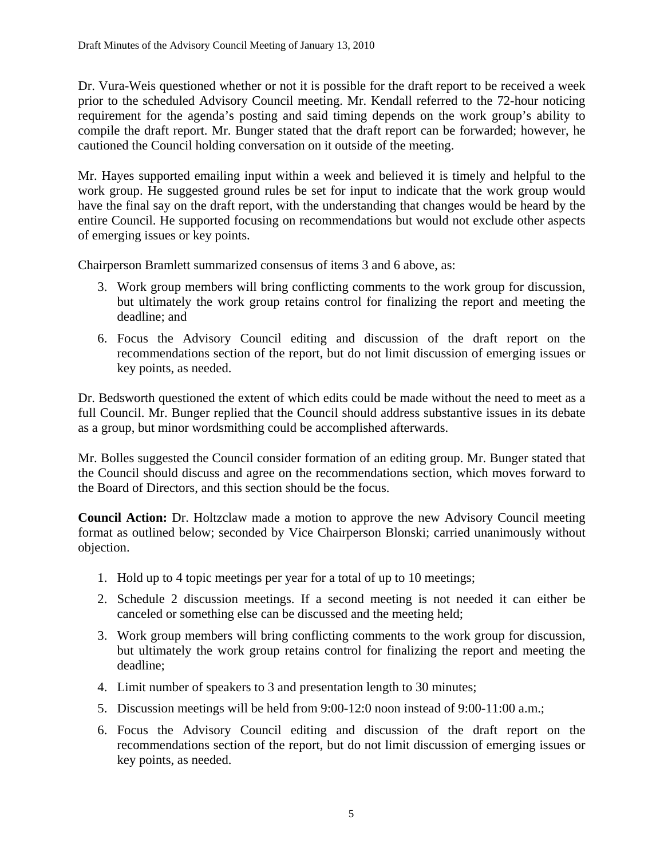Dr. Vura-Weis questioned whether or not it is possible for the draft report to be received a week prior to the scheduled Advisory Council meeting. Mr. Kendall referred to the 72-hour noticing requirement for the agenda's posting and said timing depends on the work group's ability to compile the draft report. Mr. Bunger stated that the draft report can be forwarded; however, he cautioned the Council holding conversation on it outside of the meeting.

Mr. Hayes supported emailing input within a week and believed it is timely and helpful to the work group. He suggested ground rules be set for input to indicate that the work group would have the final say on the draft report, with the understanding that changes would be heard by the entire Council. He supported focusing on recommendations but would not exclude other aspects of emerging issues or key points.

Chairperson Bramlett summarized consensus of items 3 and 6 above, as:

- 3. Work group members will bring conflicting comments to the work group for discussion, but ultimately the work group retains control for finalizing the report and meeting the deadline; and
- 6. Focus the Advisory Council editing and discussion of the draft report on the recommendations section of the report, but do not limit discussion of emerging issues or key points, as needed.

Dr. Bedsworth questioned the extent of which edits could be made without the need to meet as a full Council. Mr. Bunger replied that the Council should address substantive issues in its debate as a group, but minor wordsmithing could be accomplished afterwards.

Mr. Bolles suggested the Council consider formation of an editing group. Mr. Bunger stated that the Council should discuss and agree on the recommendations section, which moves forward to the Board of Directors, and this section should be the focus.

**Council Action:** Dr. Holtzclaw made a motion to approve the new Advisory Council meeting format as outlined below; seconded by Vice Chairperson Blonski; carried unanimously without objection.

- 1. Hold up to 4 topic meetings per year for a total of up to 10 meetings;
- 2. Schedule 2 discussion meetings. If a second meeting is not needed it can either be canceled or something else can be discussed and the meeting held;
- 3. Work group members will bring conflicting comments to the work group for discussion, but ultimately the work group retains control for finalizing the report and meeting the deadline;
- 4. Limit number of speakers to 3 and presentation length to 30 minutes;
- 5. Discussion meetings will be held from 9:00-12:0 noon instead of 9:00-11:00 a.m.;
- 6. Focus the Advisory Council editing and discussion of the draft report on the recommendations section of the report, but do not limit discussion of emerging issues or key points, as needed.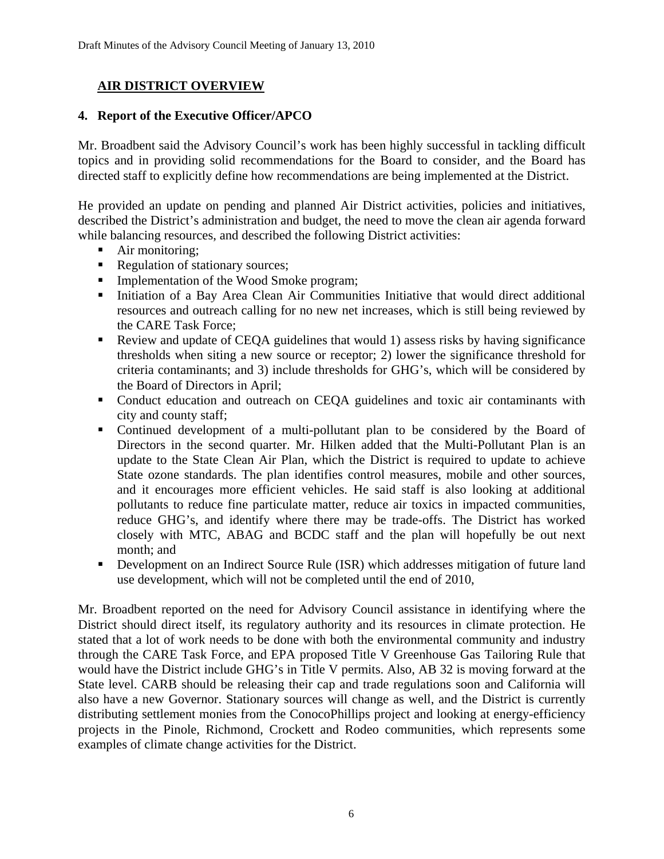# **AIR DISTRICT OVERVIEW**

## **4. Report of the Executive Officer/APCO**

Mr. Broadbent said the Advisory Council's work has been highly successful in tackling difficult topics and in providing solid recommendations for the Board to consider, and the Board has directed staff to explicitly define how recommendations are being implemented at the District.

He provided an update on pending and planned Air District activities, policies and initiatives, described the District's administration and budget, the need to move the clean air agenda forward while balancing resources, and described the following District activities:

- Air monitoring;
- Regulation of stationary sources;
- **Implementation of the Wood Smoke program;**
- Initiation of a Bay Area Clean Air Communities Initiative that would direct additional resources and outreach calling for no new net increases, which is still being reviewed by the CARE Task Force;
- Review and update of CEQA guidelines that would 1) assess risks by having significance thresholds when siting a new source or receptor; 2) lower the significance threshold for criteria contaminants; and 3) include thresholds for GHG's, which will be considered by the Board of Directors in April;
- Conduct education and outreach on CEQA guidelines and toxic air contaminants with city and county staff;
- Continued development of a multi-pollutant plan to be considered by the Board of Directors in the second quarter. Mr. Hilken added that the Multi-Pollutant Plan is an update to the State Clean Air Plan, which the District is required to update to achieve State ozone standards. The plan identifies control measures, mobile and other sources, and it encourages more efficient vehicles. He said staff is also looking at additional pollutants to reduce fine particulate matter, reduce air toxics in impacted communities, reduce GHG's, and identify where there may be trade-offs. The District has worked closely with MTC, ABAG and BCDC staff and the plan will hopefully be out next month; and
- Development on an Indirect Source Rule (ISR) which addresses mitigation of future land use development, which will not be completed until the end of 2010,

Mr. Broadbent reported on the need for Advisory Council assistance in identifying where the District should direct itself, its regulatory authority and its resources in climate protection. He stated that a lot of work needs to be done with both the environmental community and industry through the CARE Task Force, and EPA proposed Title V Greenhouse Gas Tailoring Rule that would have the District include GHG's in Title V permits. Also, AB 32 is moving forward at the State level. CARB should be releasing their cap and trade regulations soon and California will also have a new Governor. Stationary sources will change as well, and the District is currently distributing settlement monies from the ConocoPhillips project and looking at energy-efficiency projects in the Pinole, Richmond, Crockett and Rodeo communities, which represents some examples of climate change activities for the District.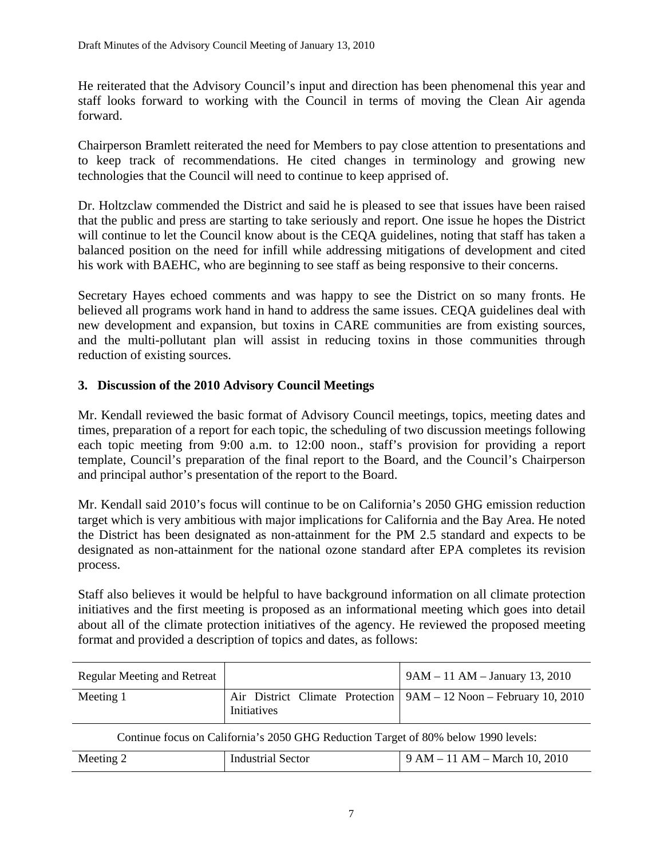He reiterated that the Advisory Council's input and direction has been phenomenal this year and staff looks forward to working with the Council in terms of moving the Clean Air agenda forward.

Chairperson Bramlett reiterated the need for Members to pay close attention to presentations and to keep track of recommendations. He cited changes in terminology and growing new technologies that the Council will need to continue to keep apprised of.

Dr. Holtzclaw commended the District and said he is pleased to see that issues have been raised that the public and press are starting to take seriously and report. One issue he hopes the District will continue to let the Council know about is the CEQA guidelines, noting that staff has taken a balanced position on the need for infill while addressing mitigations of development and cited his work with BAEHC, who are beginning to see staff as being responsive to their concerns.

Secretary Hayes echoed comments and was happy to see the District on so many fronts. He believed all programs work hand in hand to address the same issues. CEQA guidelines deal with new development and expansion, but toxins in CARE communities are from existing sources, and the multi-pollutant plan will assist in reducing toxins in those communities through reduction of existing sources.

# **3. Discussion of the 2010 Advisory Council Meetings**

Mr. Kendall reviewed the basic format of Advisory Council meetings, topics, meeting dates and times, preparation of a report for each topic, the scheduling of two discussion meetings following each topic meeting from 9:00 a.m. to 12:00 noon., staff's provision for providing a report template, Council's preparation of the final report to the Board, and the Council's Chairperson and principal author's presentation of the report to the Board.

Mr. Kendall said 2010's focus will continue to be on California's 2050 GHG emission reduction target which is very ambitious with major implications for California and the Bay Area. He noted the District has been designated as non-attainment for the PM 2.5 standard and expects to be designated as non-attainment for the national ozone standard after EPA completes its revision process.

Staff also believes it would be helpful to have background information on all climate protection initiatives and the first meeting is proposed as an informational meeting which goes into detail about all of the climate protection initiatives of the agency. He reviewed the proposed meeting format and provided a description of topics and dates, as follows:

| <b>Regular Meeting and Retreat</b> |                                                                                    | $9AM - 11 AM - January 13, 2010$                                      |
|------------------------------------|------------------------------------------------------------------------------------|-----------------------------------------------------------------------|
| Meeting 1                          | Initiatives                                                                        | Air District Climate Protection   $9AM - 12 Noon - February 10, 2010$ |
|                                    | Continue focus on California's 2050 GHG Reduction Target of 80% below 1990 levels: |                                                                       |
| Meeting 2                          | <b>Industrial Sector</b>                                                           | $9 AM - 11 AM - March 10, 2010$                                       |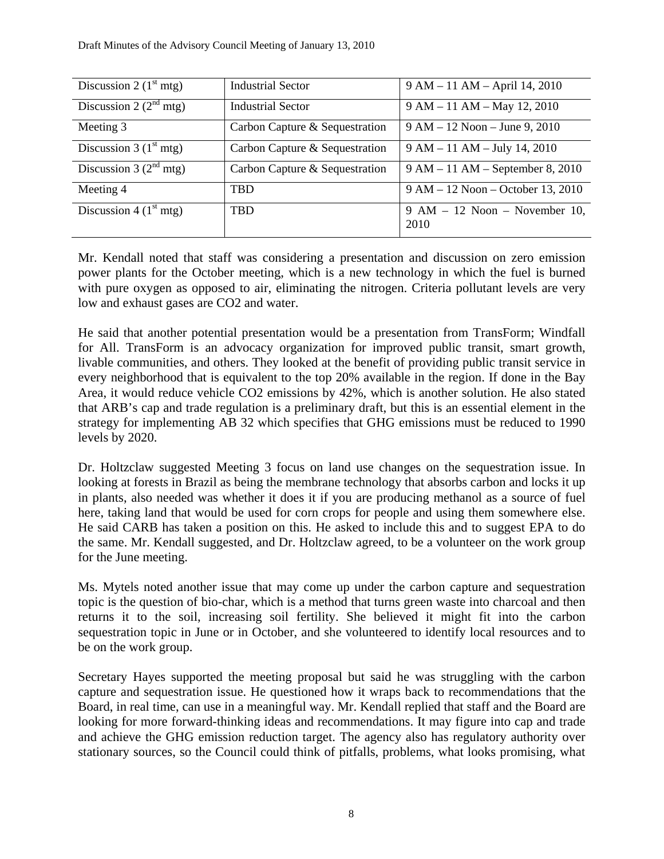| Discussion 2 $(1st mtg)$ | <b>Industrial Sector</b>       | 9 AM - 11 AM - April 14, 2010            |
|--------------------------|--------------------------------|------------------------------------------|
| Discussion 2 $(2nd mtg)$ | <b>Industrial Sector</b>       | $9 AM - 11 AM - May 12, 2010$            |
| Meeting 3                | Carbon Capture & Sequestration | $9 AM - 12 Noon - June 9, 2010$          |
| Discussion 3 $(1st mtg)$ | Carbon Capture & Sequestration | $9 AM - 11 AM - July 14, 2010$           |
| Discussion 3 $(2nd mtg)$ | Carbon Capture & Sequestration | $9 AM - 11 AM - September 8,2010$        |
| Meeting 4                | <b>TBD</b>                     | 9 AM – 12 Noon – October 13, 2010        |
| Discussion 4 $(1st mtg)$ | <b>TBD</b>                     | $9 AM - 12 Noon - November 10$ ,<br>2010 |

Mr. Kendall noted that staff was considering a presentation and discussion on zero emission power plants for the October meeting, which is a new technology in which the fuel is burned with pure oxygen as opposed to air, eliminating the nitrogen. Criteria pollutant levels are very low and exhaust gases are CO2 and water.

He said that another potential presentation would be a presentation from TransForm; Windfall for All. TransForm is an advocacy organization for improved public transit, smart growth, livable communities, and others. They looked at the benefit of providing public transit service in every neighborhood that is equivalent to the top 20% available in the region. If done in the Bay Area, it would reduce vehicle CO2 emissions by 42%, which is another solution. He also stated that ARB's cap and trade regulation is a preliminary draft, but this is an essential element in the strategy for implementing AB 32 which specifies that GHG emissions must be reduced to 1990 levels by 2020.

Dr. Holtzclaw suggested Meeting 3 focus on land use changes on the sequestration issue. In looking at forests in Brazil as being the membrane technology that absorbs carbon and locks it up in plants, also needed was whether it does it if you are producing methanol as a source of fuel here, taking land that would be used for corn crops for people and using them somewhere else. He said CARB has taken a position on this. He asked to include this and to suggest EPA to do the same. Mr. Kendall suggested, and Dr. Holtzclaw agreed, to be a volunteer on the work group for the June meeting.

Ms. Mytels noted another issue that may come up under the carbon capture and sequestration topic is the question of bio-char, which is a method that turns green waste into charcoal and then returns it to the soil, increasing soil fertility. She believed it might fit into the carbon sequestration topic in June or in October, and she volunteered to identify local resources and to be on the work group.

Secretary Hayes supported the meeting proposal but said he was struggling with the carbon capture and sequestration issue. He questioned how it wraps back to recommendations that the Board, in real time, can use in a meaningful way. Mr. Kendall replied that staff and the Board are looking for more forward-thinking ideas and recommendations. It may figure into cap and trade and achieve the GHG emission reduction target. The agency also has regulatory authority over stationary sources, so the Council could think of pitfalls, problems, what looks promising, what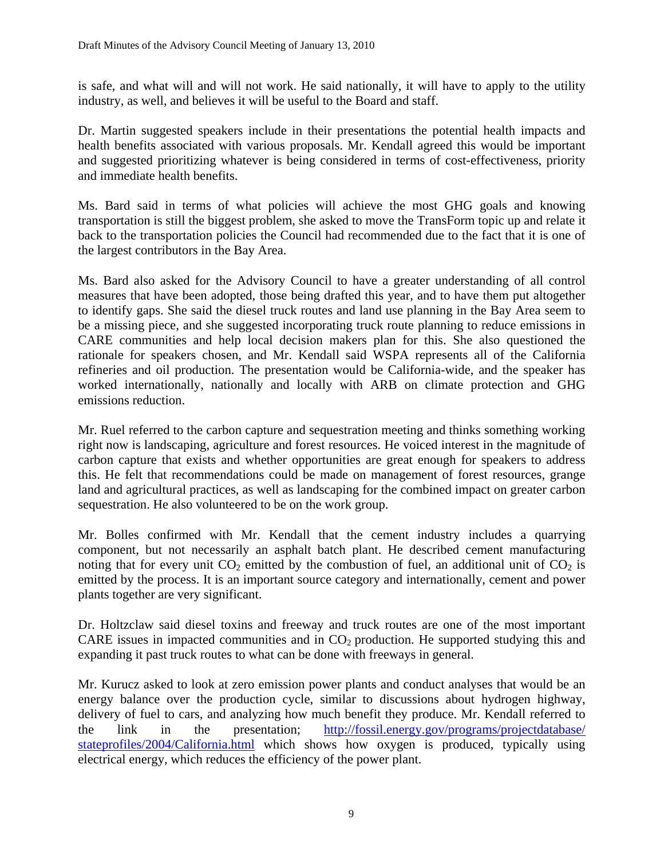is safe, and what will and will not work. He said nationally, it will have to apply to the utility industry, as well, and believes it will be useful to the Board and staff.

Dr. Martin suggested speakers include in their presentations the potential health impacts and health benefits associated with various proposals. Mr. Kendall agreed this would be important and suggested prioritizing whatever is being considered in terms of cost-effectiveness, priority and immediate health benefits.

Ms. Bard said in terms of what policies will achieve the most GHG goals and knowing transportation is still the biggest problem, she asked to move the TransForm topic up and relate it back to the transportation policies the Council had recommended due to the fact that it is one of the largest contributors in the Bay Area.

Ms. Bard also asked for the Advisory Council to have a greater understanding of all control measures that have been adopted, those being drafted this year, and to have them put altogether to identify gaps. She said the diesel truck routes and land use planning in the Bay Area seem to be a missing piece, and she suggested incorporating truck route planning to reduce emissions in CARE communities and help local decision makers plan for this. She also questioned the rationale for speakers chosen, and Mr. Kendall said WSPA represents all of the California refineries and oil production. The presentation would be California-wide, and the speaker has worked internationally, nationally and locally with ARB on climate protection and GHG emissions reduction.

Mr. Ruel referred to the carbon capture and sequestration meeting and thinks something working right now is landscaping, agriculture and forest resources. He voiced interest in the magnitude of carbon capture that exists and whether opportunities are great enough for speakers to address this. He felt that recommendations could be made on management of forest resources, grange land and agricultural practices, as well as landscaping for the combined impact on greater carbon sequestration. He also volunteered to be on the work group.

Mr. Bolles confirmed with Mr. Kendall that the cement industry includes a quarrying component, but not necessarily an asphalt batch plant. He described cement manufacturing noting that for every unit  $CO_2$  emitted by the combustion of fuel, an additional unit of  $CO_2$  is emitted by the process. It is an important source category and internationally, cement and power plants together are very significant.

Dr. Holtzclaw said diesel toxins and freeway and truck routes are one of the most important CARE issues in impacted communities and in  $CO<sub>2</sub>$  production. He supported studying this and expanding it past truck routes to what can be done with freeways in general.

Mr. Kurucz asked to look at zero emission power plants and conduct analyses that would be an energy balance over the production cycle, similar to discussions about hydrogen highway, delivery of fuel to cars, and analyzing how much benefit they produce. Mr. Kendall referred to the link in the presentation; [http://fossil.energy.gov/programs/projectdatabase/](http://fossil.energy.gov/programs/projectdatabase/%20stateprofiles/2004/California.html)  [stateprofiles/2004/California.html](http://fossil.energy.gov/programs/projectdatabase/%20stateprofiles/2004/California.html) which shows how oxygen is produced, typically using electrical energy, which reduces the efficiency of the power plant.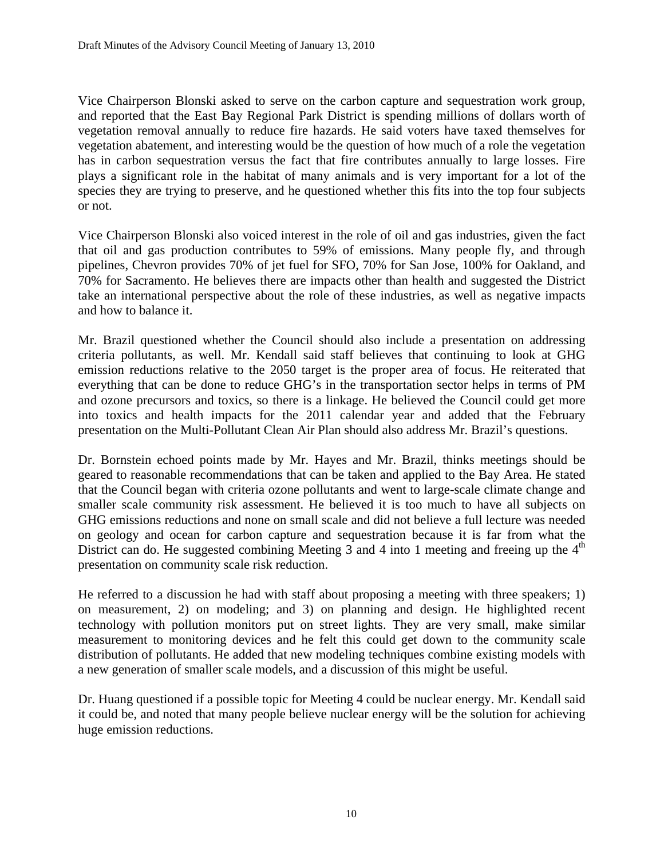Vice Chairperson Blonski asked to serve on the carbon capture and sequestration work group, and reported that the East Bay Regional Park District is spending millions of dollars worth of vegetation removal annually to reduce fire hazards. He said voters have taxed themselves for vegetation abatement, and interesting would be the question of how much of a role the vegetation has in carbon sequestration versus the fact that fire contributes annually to large losses. Fire plays a significant role in the habitat of many animals and is very important for a lot of the species they are trying to preserve, and he questioned whether this fits into the top four subjects or not.

Vice Chairperson Blonski also voiced interest in the role of oil and gas industries, given the fact that oil and gas production contributes to 59% of emissions. Many people fly, and through pipelines, Chevron provides 70% of jet fuel for SFO, 70% for San Jose, 100% for Oakland, and 70% for Sacramento. He believes there are impacts other than health and suggested the District take an international perspective about the role of these industries, as well as negative impacts and how to balance it.

Mr. Brazil questioned whether the Council should also include a presentation on addressing criteria pollutants, as well. Mr. Kendall said staff believes that continuing to look at GHG emission reductions relative to the 2050 target is the proper area of focus. He reiterated that everything that can be done to reduce GHG's in the transportation sector helps in terms of PM and ozone precursors and toxics, so there is a linkage. He believed the Council could get more into toxics and health impacts for the 2011 calendar year and added that the February presentation on the Multi-Pollutant Clean Air Plan should also address Mr. Brazil's questions.

Dr. Bornstein echoed points made by Mr. Hayes and Mr. Brazil, thinks meetings should be geared to reasonable recommendations that can be taken and applied to the Bay Area. He stated that the Council began with criteria ozone pollutants and went to large-scale climate change and smaller scale community risk assessment. He believed it is too much to have all subjects on GHG emissions reductions and none on small scale and did not believe a full lecture was needed on geology and ocean for carbon capture and sequestration because it is far from what the District can do. He suggested combining Meeting 3 and 4 into 1 meeting and freeing up the  $4<sup>th</sup>$ presentation on community scale risk reduction.

He referred to a discussion he had with staff about proposing a meeting with three speakers; 1) on measurement, 2) on modeling; and 3) on planning and design. He highlighted recent technology with pollution monitors put on street lights. They are very small, make similar measurement to monitoring devices and he felt this could get down to the community scale distribution of pollutants. He added that new modeling techniques combine existing models with a new generation of smaller scale models, and a discussion of this might be useful.

Dr. Huang questioned if a possible topic for Meeting 4 could be nuclear energy. Mr. Kendall said it could be, and noted that many people believe nuclear energy will be the solution for achieving huge emission reductions.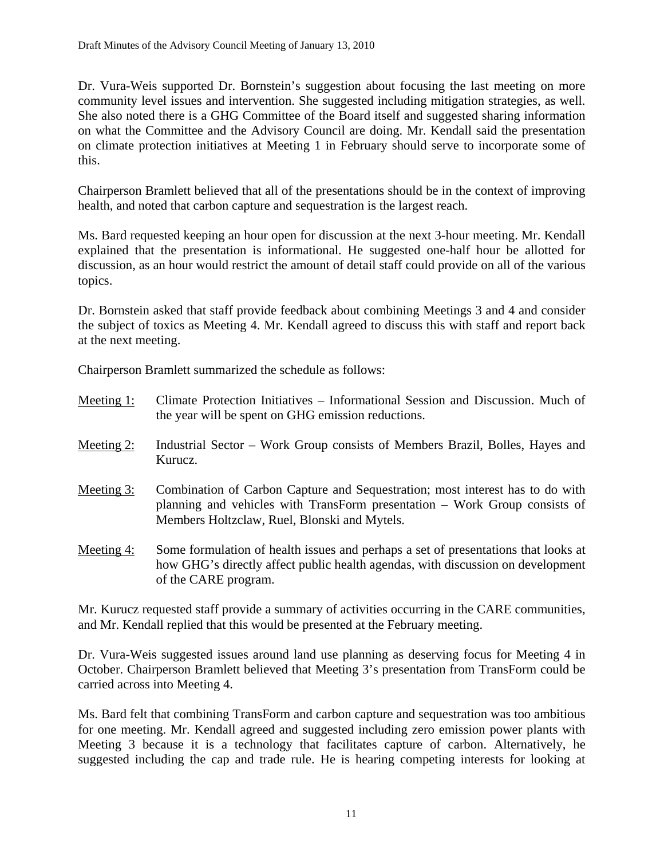Dr. Vura-Weis supported Dr. Bornstein's suggestion about focusing the last meeting on more community level issues and intervention. She suggested including mitigation strategies, as well. She also noted there is a GHG Committee of the Board itself and suggested sharing information on what the Committee and the Advisory Council are doing. Mr. Kendall said the presentation on climate protection initiatives at Meeting 1 in February should serve to incorporate some of this.

Chairperson Bramlett believed that all of the presentations should be in the context of improving health, and noted that carbon capture and sequestration is the largest reach.

Ms. Bard requested keeping an hour open for discussion at the next 3-hour meeting. Mr. Kendall explained that the presentation is informational. He suggested one-half hour be allotted for discussion, as an hour would restrict the amount of detail staff could provide on all of the various topics.

Dr. Bornstein asked that staff provide feedback about combining Meetings 3 and 4 and consider the subject of toxics as Meeting 4. Mr. Kendall agreed to discuss this with staff and report back at the next meeting.

Chairperson Bramlett summarized the schedule as follows:

| Meeting $1$ : | Climate Protection Initiatives – Informational Session and Discussion. Much of<br>the year will be spent on GHG emission reductions.                                                                        |
|---------------|-------------------------------------------------------------------------------------------------------------------------------------------------------------------------------------------------------------|
| Meeting $2$ : | Industrial Sector – Work Group consists of Members Brazil, Bolles, Hayes and<br>Kurucz.                                                                                                                     |
| Meeting 3:    | Combination of Carbon Capture and Sequestration; most interest has to do with<br>planning and vehicles with TransForm presentation – Work Group consists of<br>Members Holtzclaw, Ruel, Blonski and Mytels. |
| Meeting 4:    | Some formulation of health issues and perhaps a set of presentations that looks at                                                                                                                          |

how GHG's directly affect public health agendas, with discussion on development of the CARE program.

Mr. Kurucz requested staff provide a summary of activities occurring in the CARE communities, and Mr. Kendall replied that this would be presented at the February meeting.

Dr. Vura-Weis suggested issues around land use planning as deserving focus for Meeting 4 in October. Chairperson Bramlett believed that Meeting 3's presentation from TransForm could be carried across into Meeting 4.

Ms. Bard felt that combining TransForm and carbon capture and sequestration was too ambitious for one meeting. Mr. Kendall agreed and suggested including zero emission power plants with Meeting 3 because it is a technology that facilitates capture of carbon. Alternatively, he suggested including the cap and trade rule. He is hearing competing interests for looking at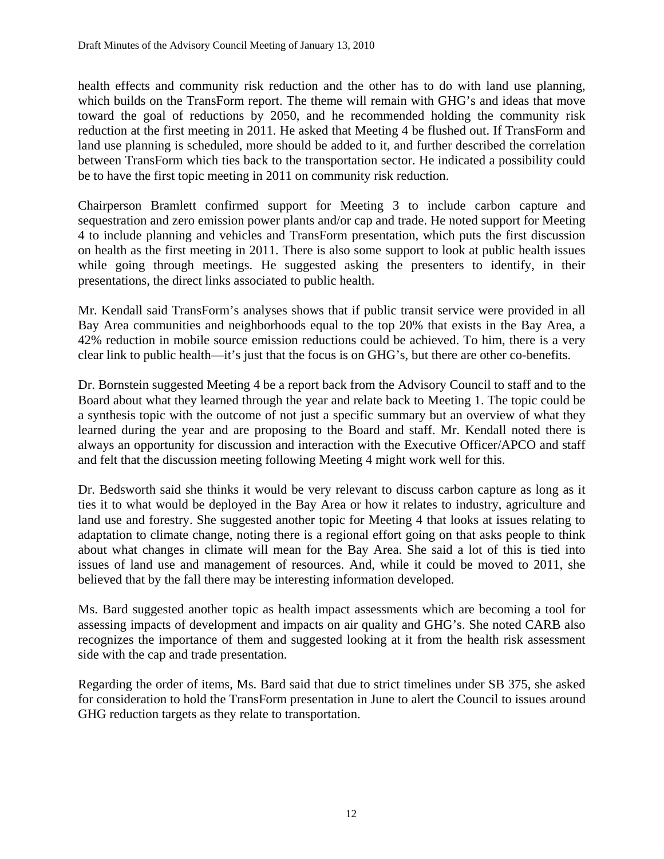health effects and community risk reduction and the other has to do with land use planning, which builds on the TransForm report. The theme will remain with GHG's and ideas that move toward the goal of reductions by 2050, and he recommended holding the community risk reduction at the first meeting in 2011. He asked that Meeting 4 be flushed out. If TransForm and land use planning is scheduled, more should be added to it, and further described the correlation between TransForm which ties back to the transportation sector. He indicated a possibility could be to have the first topic meeting in 2011 on community risk reduction.

Chairperson Bramlett confirmed support for Meeting 3 to include carbon capture and sequestration and zero emission power plants and/or cap and trade. He noted support for Meeting 4 to include planning and vehicles and TransForm presentation, which puts the first discussion on health as the first meeting in 2011. There is also some support to look at public health issues while going through meetings. He suggested asking the presenters to identify, in their presentations, the direct links associated to public health.

Mr. Kendall said TransForm's analyses shows that if public transit service were provided in all Bay Area communities and neighborhoods equal to the top 20% that exists in the Bay Area, a 42% reduction in mobile source emission reductions could be achieved. To him, there is a very clear link to public health—it's just that the focus is on GHG's, but there are other co-benefits.

Dr. Bornstein suggested Meeting 4 be a report back from the Advisory Council to staff and to the Board about what they learned through the year and relate back to Meeting 1. The topic could be a synthesis topic with the outcome of not just a specific summary but an overview of what they learned during the year and are proposing to the Board and staff. Mr. Kendall noted there is always an opportunity for discussion and interaction with the Executive Officer/APCO and staff and felt that the discussion meeting following Meeting 4 might work well for this.

Dr. Bedsworth said she thinks it would be very relevant to discuss carbon capture as long as it ties it to what would be deployed in the Bay Area or how it relates to industry, agriculture and land use and forestry. She suggested another topic for Meeting 4 that looks at issues relating to adaptation to climate change, noting there is a regional effort going on that asks people to think about what changes in climate will mean for the Bay Area. She said a lot of this is tied into issues of land use and management of resources. And, while it could be moved to 2011, she believed that by the fall there may be interesting information developed.

Ms. Bard suggested another topic as health impact assessments which are becoming a tool for assessing impacts of development and impacts on air quality and GHG's. She noted CARB also recognizes the importance of them and suggested looking at it from the health risk assessment side with the cap and trade presentation.

Regarding the order of items, Ms. Bard said that due to strict timelines under SB 375, she asked for consideration to hold the TransForm presentation in June to alert the Council to issues around GHG reduction targets as they relate to transportation.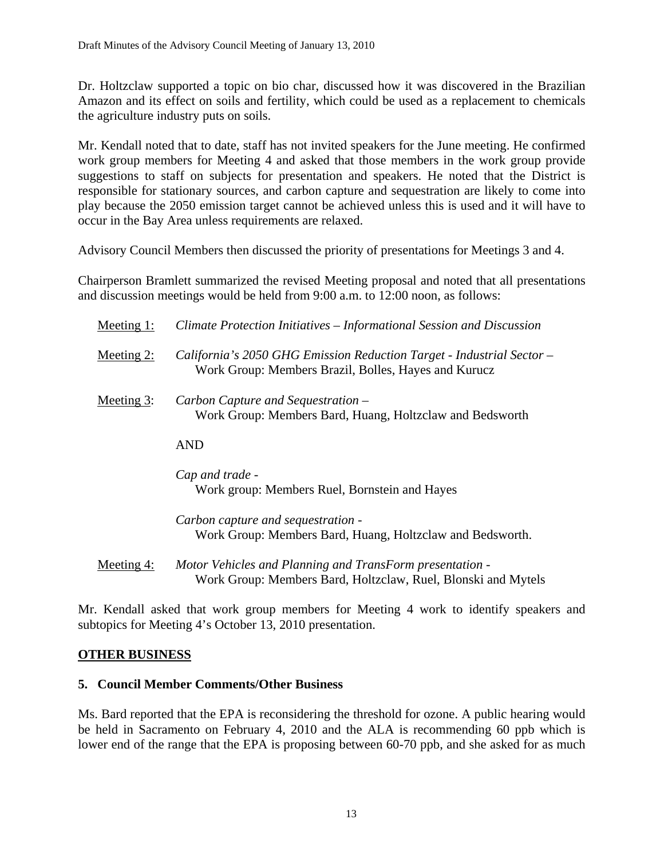Dr. Holtzclaw supported a topic on bio char, discussed how it was discovered in the Brazilian Amazon and its effect on soils and fertility, which could be used as a replacement to chemicals the agriculture industry puts on soils.

Mr. Kendall noted that to date, staff has not invited speakers for the June meeting. He confirmed work group members for Meeting 4 and asked that those members in the work group provide suggestions to staff on subjects for presentation and speakers. He noted that the District is responsible for stationary sources, and carbon capture and sequestration are likely to come into play because the 2050 emission target cannot be achieved unless this is used and it will have to occur in the Bay Area unless requirements are relaxed.

Advisory Council Members then discussed the priority of presentations for Meetings 3 and 4.

Chairperson Bramlett summarized the revised Meeting proposal and noted that all presentations and discussion meetings would be held from 9:00 a.m. to 12:00 noon, as follows:

| Climate Protection Initiatives – Informational Session and Discussion                                                         |
|-------------------------------------------------------------------------------------------------------------------------------|
| California's 2050 GHG Emission Reduction Target - Industrial Sector -<br>Work Group: Members Brazil, Bolles, Hayes and Kurucz |
| Carbon Capture and Sequestration –<br>Work Group: Members Bard, Huang, Holtzclaw and Bedsworth                                |
| <b>AND</b>                                                                                                                    |
| Cap and trade -<br>Work group: Members Ruel, Bornstein and Hayes                                                              |
| Carbon capture and sequestration -<br>Work Group: Members Bard, Huang, Holtzclaw and Bedsworth.                               |
|                                                                                                                               |

Mr. Kendall asked that work group members for Meeting 4 work to identify speakers and subtopics for Meeting 4's October 13, 2010 presentation.

## **OTHER BUSINESS**

## **5. Council Member Comments/Other Business**

Ms. Bard reported that the EPA is reconsidering the threshold for ozone. A public hearing would be held in Sacramento on February 4, 2010 and the ALA is recommending 60 ppb which is lower end of the range that the EPA is proposing between 60-70 ppb, and she asked for as much

Meeting 4: *Motor Vehicles and Planning and TransForm presentation -*  Work Group: Members Bard, Holtzclaw, Ruel, Blonski and Mytels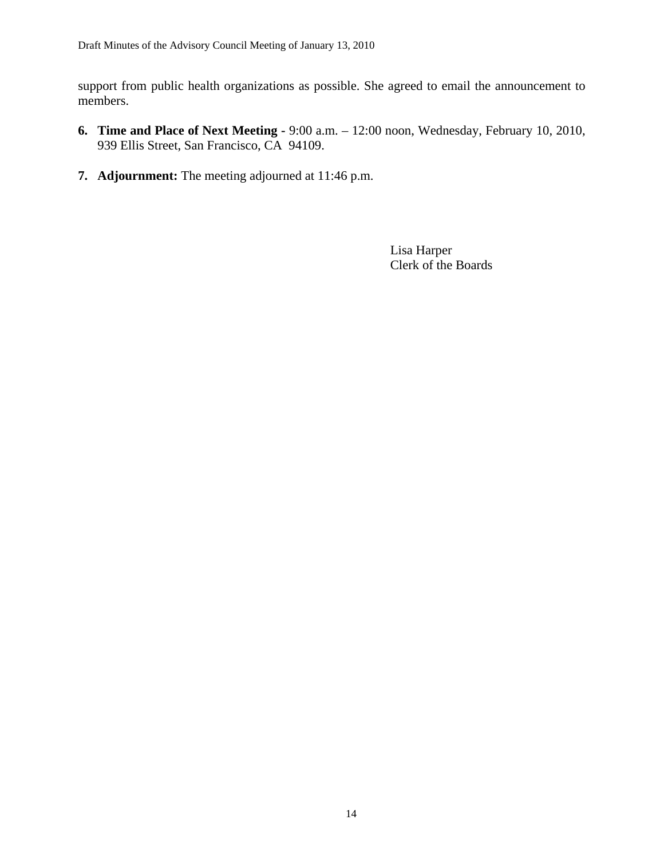support from public health organizations as possible. She agreed to email the announcement to members.

- **6. Time and Place of Next Meeting** 9:00 a.m. 12:00 noon, Wednesday, February 10, 2010, 939 Ellis Street, San Francisco, CA 94109.
- **7. Adjournment:** The meeting adjourned at 11:46 p.m.

 Lisa Harper Clerk of the Boards